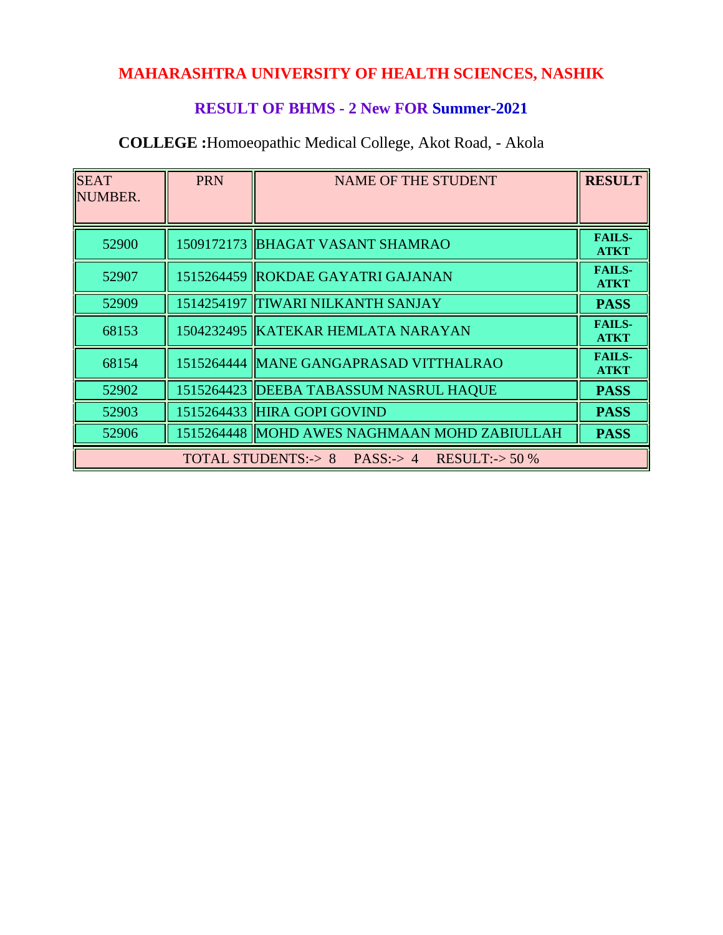# **MAHARASHTRA UNIVERSITY OF HEALTH SCIENCES, NASHIK**

## **RESULT OF BHMS - 2 New FOR Summer-2021**

| <b>SEAT</b><br>NUMBER.                             | <b>PRN</b> | <b>NAME OF THE STUDENT</b>                   | <b>RESULT</b>                |
|----------------------------------------------------|------------|----------------------------------------------|------------------------------|
|                                                    |            |                                              |                              |
| 52900                                              |            | 1509172173   BHAGAT VASANT SHAMRAO           | <b>FAILS-</b><br><b>ATKT</b> |
| 52907                                              |            | 1515264459 ROKDAE GAYATRI GAJANAN            | <b>FAILS-</b><br><b>ATKT</b> |
| 52909                                              |            | 1514254197 TIWARI NILKANTH SANJAY            | <b>PASS</b>                  |
| 68153                                              |            | 1504232495  KATEKAR HEMLATA NARAYAN          | <b>FAILS-</b><br><b>ATKT</b> |
| 68154                                              |            | 1515264444   MANE GANGAPRASAD VITTHALRAO     | <b>FAILS-</b><br><b>ATKT</b> |
| 52902                                              |            | 1515264423  DEEBA TABASSUM NASRUL HAQUE      | <b>PASS</b>                  |
| 52903                                              |            | 1515264433 HIRA GOPI GOVIND                  | <b>PASS</b>                  |
| 52906                                              |            | 1515264448 MOHD AWES NAGHMAAN MOHD ZABIULLAH | <b>PASS</b>                  |
| TOTAL STUDENTS: $> 8$ PASS: $> 4$ RESULT: $> 50\%$ |            |                                              |                              |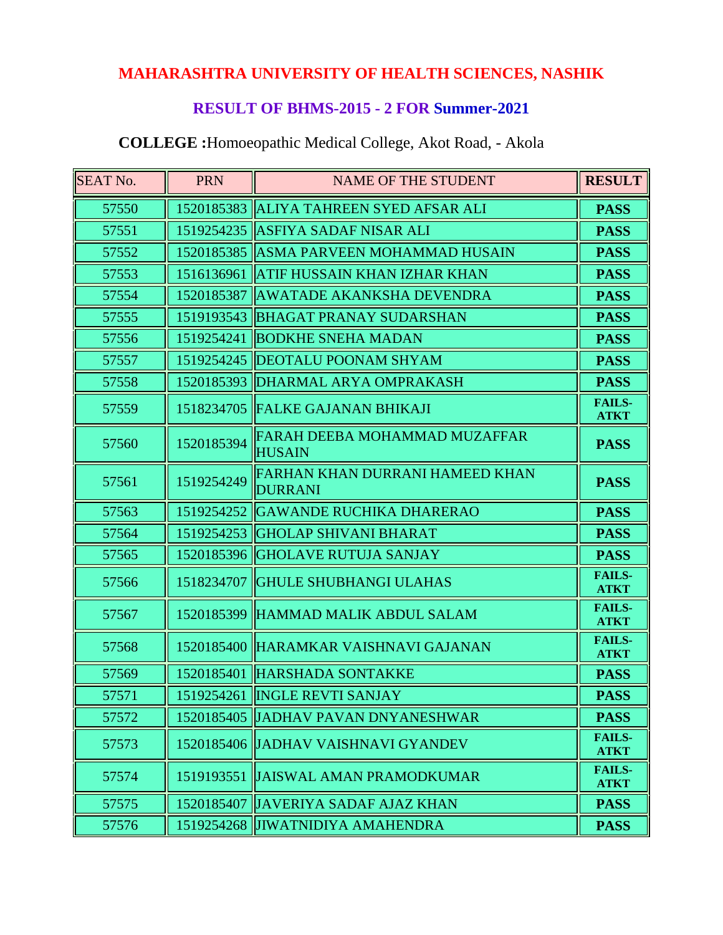# **MAHARASHTRA UNIVERSITY OF HEALTH SCIENCES, NASHIK**

## **RESULT OF BHMS-2015 - 2 FOR Summer-2021**

| <b>SEAT No.</b> | <b>PRN</b> | <b>NAME OF THE STUDENT</b>                        | <b>RESULT</b>                |
|-----------------|------------|---------------------------------------------------|------------------------------|
| 57550           |            | 1520185383 ALIYA TAHREEN SYED AFSAR ALI           | <b>PASS</b>                  |
| 57551           | 1519254235 | <b>ASFIYA SADAF NISAR ALI</b>                     | <b>PASS</b>                  |
| 57552           |            | 1520185385 ASMA PARVEEN MOHAMMAD HUSAIN           | <b>PASS</b>                  |
| 57553           | 1516136961 | <b>ATIF HUSSAIN KHAN IZHAR KHAN</b>               | <b>PASS</b>                  |
| 57554           | 1520185387 | AWATADE AKANKSHA DEVENDRA                         | <b>PASS</b>                  |
| 57555           | 1519193543 | <b>BHAGAT PRANAY SUDARSHAN</b>                    | <b>PASS</b>                  |
| 57556           | 1519254241 | <b>BODKHE SNEHA MADAN</b>                         | <b>PASS</b>                  |
| 57557           | 1519254245 | <b>DEOTALU POONAM SHYAM</b>                       | <b>PASS</b>                  |
| 57558           | 1520185393 | DHARMAL ARYA OMPRAKASH                            | <b>PASS</b>                  |
| 57559           | 1518234705 | <b>FALKE GAJANAN BHIKAJI</b>                      | <b>FAILS-</b><br><b>ATKT</b> |
| 57560           | 1520185394 | FARAH DEEBA MOHAMMAD MUZAFFAR<br><b>HUSAIN</b>    | <b>PASS</b>                  |
| 57561           | 1519254249 | FARHAN KHAN DURRANI HAMEED KHAN<br><b>DURRANI</b> | <b>PASS</b>                  |
| 57563           | 1519254252 | <b>GAWANDE RUCHIKA DHARERAO</b>                   | <b>PASS</b>                  |
| 57564           | 1519254253 | <b>GHOLAP SHIVANI BHARAT</b>                      | <b>PASS</b>                  |
| 57565           | 1520185396 | <b>GHOLAVE RUTUJA SANJAY</b>                      | <b>PASS</b>                  |
| 57566           | 1518234707 | <b>GHULE SHUBHANGI ULAHAS</b>                     | <b>FAILS-</b><br><b>ATKT</b> |
| 57567           | 1520185399 | HAMMAD MALIK ABDUL SALAM                          | <b>FAILS-</b><br><b>ATKT</b> |
| 57568           | 1520185400 | HARAMKAR VAISHNAVI GAJANAN                        | <b>FAILS-</b><br><b>ATKT</b> |
| 57569           | 1520185401 | HARSHADA SONTAKKE                                 | <b>PASS</b>                  |
| 57571           |            | 1519254261  INGLE REVTI SANJAY                    | <b>PASS</b>                  |
| 57572           |            | 1520185405 JJADHAV PAVAN DNYANESHWAR              | <b>PASS</b>                  |
| 57573           |            | 1520185406 JJADHAV VAISHNAVI GYANDEV              | <b>FAILS-</b><br><b>ATKT</b> |
| 57574           | 1519193551 | <b>JJAISWAL AMAN PRAMODKUMAR</b>                  | <b>FAILS-</b><br><b>ATKT</b> |
| 57575           |            | 1520185407 JAVERIYA SADAF AJAZ KHAN               | <b>PASS</b>                  |
| 57576           |            | 1519254268 JIWATNIDIYA AMAHENDRA                  | <b>PASS</b>                  |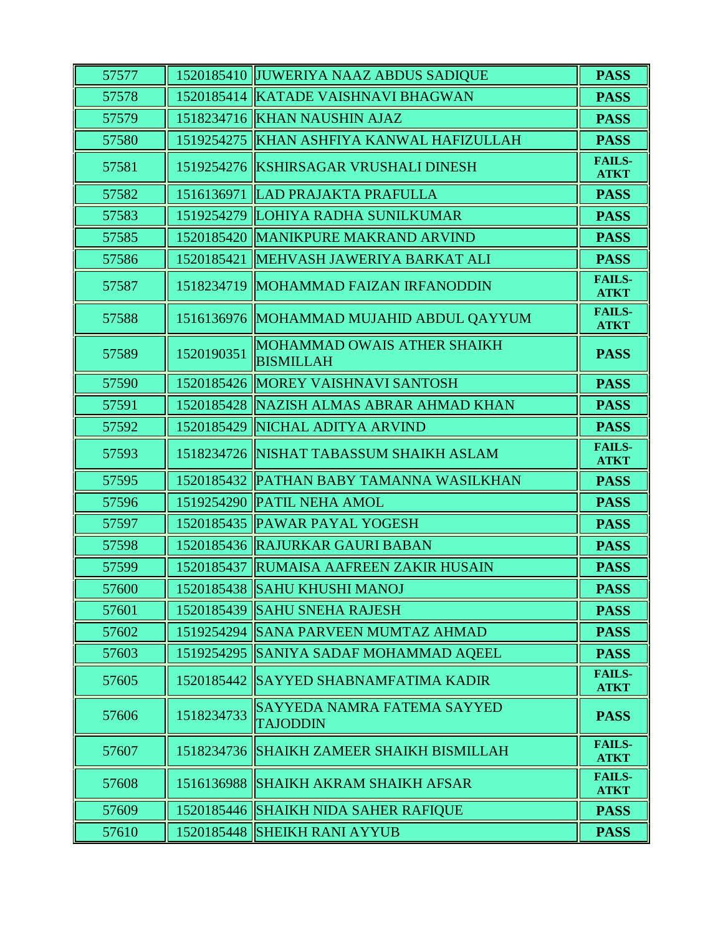| 57577 |            | 1520185410 JUWERIYA NAAZ ABDUS SADIQUE          | <b>PASS</b>                  |
|-------|------------|-------------------------------------------------|------------------------------|
| 57578 |            | 1520185414 KATADE VAISHNAVI BHAGWAN             | <b>PASS</b>                  |
| 57579 |            | 1518234716 KHAN NAUSHIN AJAZ                    | <b>PASS</b>                  |
| 57580 | 1519254275 | KHAN ASHFIYA KANWAL HAFIZULLAH                  | <b>PASS</b>                  |
| 57581 | 1519254276 | <b>KSHIRSAGAR VRUSHALI DINESH</b>               | <b>FAILS-</b><br><b>ATKT</b> |
| 57582 | 1516136971 | LAD PRAJAKTA PRAFULLA                           | <b>PASS</b>                  |
| 57583 |            | 1519254279 LOHIYA RADHA SUNILKUMAR              | <b>PASS</b>                  |
| 57585 |            | 1520185420 MANIKPURE MAKRAND ARVIND             | <b>PASS</b>                  |
| 57586 | 1520185421 | MEHVASH JAWERIYA BARKAT ALI                     | <b>PASS</b>                  |
| 57587 |            | 1518234719 MOHAMMAD FAIZAN IRFANODDIN           | <b>FAILS-</b><br><b>ATKT</b> |
| 57588 |            | 1516136976 MOHAMMAD MUJAHID ABDUL QAYYUM        | <b>FAILS-</b><br><b>ATKT</b> |
| 57589 | 1520190351 | MOHAMMAD OWAIS ATHER SHAIKH<br><b>BISMILLAH</b> | <b>PASS</b>                  |
| 57590 |            | 1520185426 MOREY VAISHNAVI SANTOSH              | <b>PASS</b>                  |
| 57591 |            | 1520185428   NAZISH ALMAS ABRAR AHMAD KHAN      | <b>PASS</b>                  |
| 57592 | 1520185429 | NICHAL ADITYA ARVIND                            | <b>PASS</b>                  |
| 57593 |            | 1518234726 NISHAT TABASSUM SHAIKH ASLAM         | <b>FAILS-</b><br><b>ATKT</b> |
| 57595 |            | 1520185432 PATHAN BABY TAMANNA WASILKHAN        | <b>PASS</b>                  |
| 57596 |            | 1519254290 PATIL NEHA AMOL                      | <b>PASS</b>                  |
| 57597 |            | 1520185435   PAWAR PAYAL YOGESH                 | <b>PASS</b>                  |
| 57598 |            | 1520185436 RAJURKAR GAURI BABAN                 | <b>PASS</b>                  |
| 57599 |            | 1520185437 RUMAISA AAFREEN ZAKIR HUSAIN         | <b>PASS</b>                  |
| 57600 |            | 1520185438 SAHU KHUSHI MANOJ                    | <b>PASS</b>                  |
| 57601 |            | 1520185439 SAHU SNEHA RAJESH                    | <b>PASS</b>                  |
| 57602 |            | 1519254294 SANA PARVEEN MUMTAZ AHMAD            | <b>PASS</b>                  |
| 57603 |            | 1519254295 SANIYA SADAF MOHAMMAD AQEEL          | <b>PASS</b>                  |
| 57605 |            | 1520185442   SAYYED SHABNAMFATIMA KADIR         | <b>FAILS-</b><br><b>ATKT</b> |
| 57606 | 1518234733 | SAYYEDA NAMRA FATEMA SAYYED<br><b>TAJODDIN</b>  | <b>PASS</b>                  |
| 57607 | 1518234736 | <b>SHAIKH ZAMEER SHAIKH BISMILLAH</b>           | <b>FAILS-</b><br><b>ATKT</b> |
| 57608 |            | 1516136988 SHAIKH AKRAM SHAIKH AFSAR            | <b>FAILS-</b><br><b>ATKT</b> |
| 57609 |            | 1520185446 SHAIKH NIDA SAHER RAFIQUE            | <b>PASS</b>                  |
| 57610 |            | 1520185448 SHEIKH RANI AYYUB                    | <b>PASS</b>                  |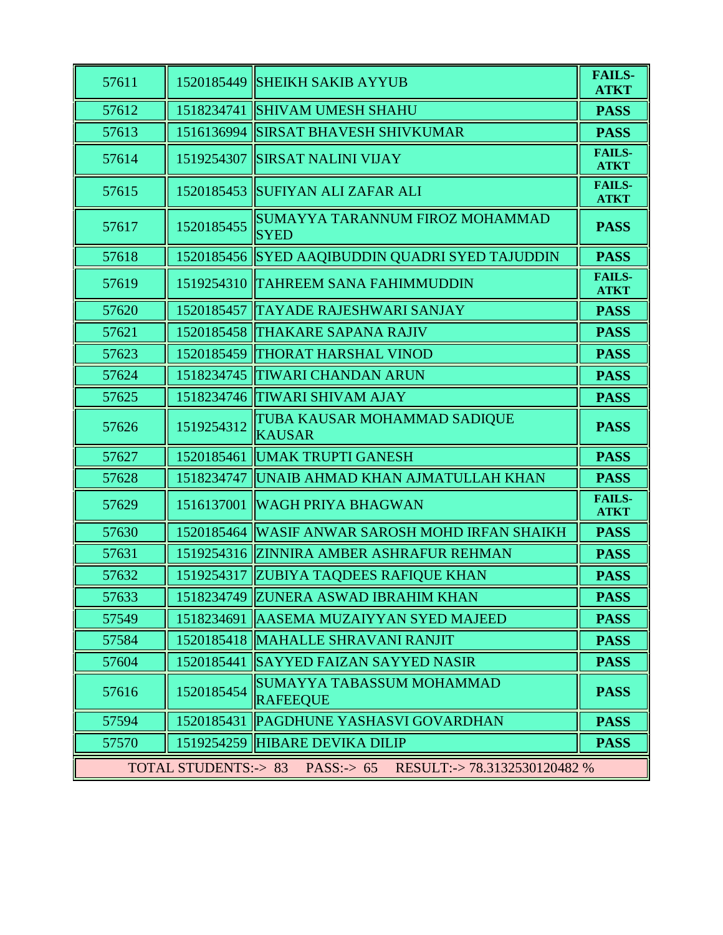| 57611                                                                           | 1520185449 | <b>SHEIKH SAKIB AYYUB</b>                           | <b>FAILS-</b><br><b>ATKT</b> |
|---------------------------------------------------------------------------------|------------|-----------------------------------------------------|------------------------------|
| 57612                                                                           | 1518234741 | <b>SHIVAM UMESH SHAHU</b>                           | <b>PASS</b>                  |
| 57613                                                                           | 1516136994 | SIRSAT BHAVESH SHIVKUMAR                            | <b>PASS</b>                  |
| 57614                                                                           | 1519254307 | <b>SIRSAT NALINI VIJAY</b>                          | <b>FAILS-</b><br><b>ATKT</b> |
| 57615                                                                           | 1520185453 | SUFIYAN ALI ZAFAR ALI                               | <b>FAILS-</b><br><b>ATKT</b> |
| 57617                                                                           | 1520185455 | SUMAYYA TARANNUM FIROZ MOHAMMAD<br><b>SYED</b>      | <b>PASS</b>                  |
| 57618                                                                           |            | 1520185456 SYED AAQIBUDDIN QUADRI SYED TAJUDDIN     | <b>PASS</b>                  |
| 57619                                                                           | 1519254310 | <b>TAHREEM SANA FAHIMMUDDIN</b>                     | <b>FAILS-</b><br><b>ATKT</b> |
| 57620                                                                           | 1520185457 | <b>TAYADE RAJESHWARI SANJAY</b>                     | <b>PASS</b>                  |
| 57621                                                                           | 1520185458 | <b>THAKARE SAPANA RAJIV</b>                         | <b>PASS</b>                  |
| 57623                                                                           | 1520185459 | <b>THORAT HARSHAL VINOD</b>                         | <b>PASS</b>                  |
| 57624                                                                           | 1518234745 | <b>TIWARI CHANDAN ARUN</b>                          | <b>PASS</b>                  |
| 57625                                                                           | 1518234746 | <b>TIWARI SHIVAM AJAY</b>                           | <b>PASS</b>                  |
| 57626                                                                           | 1519254312 | TUBA KAUSAR MOHAMMAD SADIQUE<br><b>KAUSAR</b>       | <b>PASS</b>                  |
| 57627                                                                           | 1520185461 | UMAK TRUPTI GANESH                                  | <b>PASS</b>                  |
| 57628                                                                           | 1518234747 | UNAIB AHMAD KHAN AJMATULLAH KHAN                    | <b>PASS</b>                  |
| 57629                                                                           | 1516137001 | <b>WAGH PRIYA BHAGWAN</b>                           | <b>FAILS-</b><br><b>ATKT</b> |
| 57630                                                                           |            | 1520185464  WASIF ANWAR SAROSH MOHD IRFAN SHAIKH    | <b>PASS</b>                  |
| 57631                                                                           |            | 1519254316 ZINNIRA AMBER ASHRAFUR REHMAN            | <b>PASS</b>                  |
| 57632                                                                           |            | 1519254317  ZUBIYA TAQDEES RAFIQUE KHAN             | <b>PASS</b>                  |
| 57633                                                                           |            | 1518234749   ZUNERA ASWAD IBRAHIM KHAN              | <b>PASS</b>                  |
| 57549                                                                           | 1518234691 | <b>AASEMA MUZAIYYAN SYED MAJEED</b>                 | <b>PASS</b>                  |
| 57584                                                                           |            | 1520185418   MAHALLE SHRAVANI RANJIT                | <b>PASS</b>                  |
| 57604                                                                           | 1520185441 | <b>SAYYED FAIZAN SAYYED NASIR</b>                   | <b>PASS</b>                  |
| 57616                                                                           | 1520185454 | <b>SUMAYYA TABASSUM MOHAMMAD</b><br><b>RAFEEQUE</b> | <b>PASS</b>                  |
| 57594                                                                           | 1520185431 | <b>PAGDHUNE YASHASVI GOVARDHAN</b>                  | <b>PASS</b>                  |
| 57570                                                                           |            | 1519254259 HIBARE DEVIKA DILIP                      | <b>PASS</b>                  |
| <b>TOTAL STUDENTS:-&gt; 83</b><br>PASS: $> 65$<br>RESULT: -> 78.3132530120482 % |            |                                                     |                              |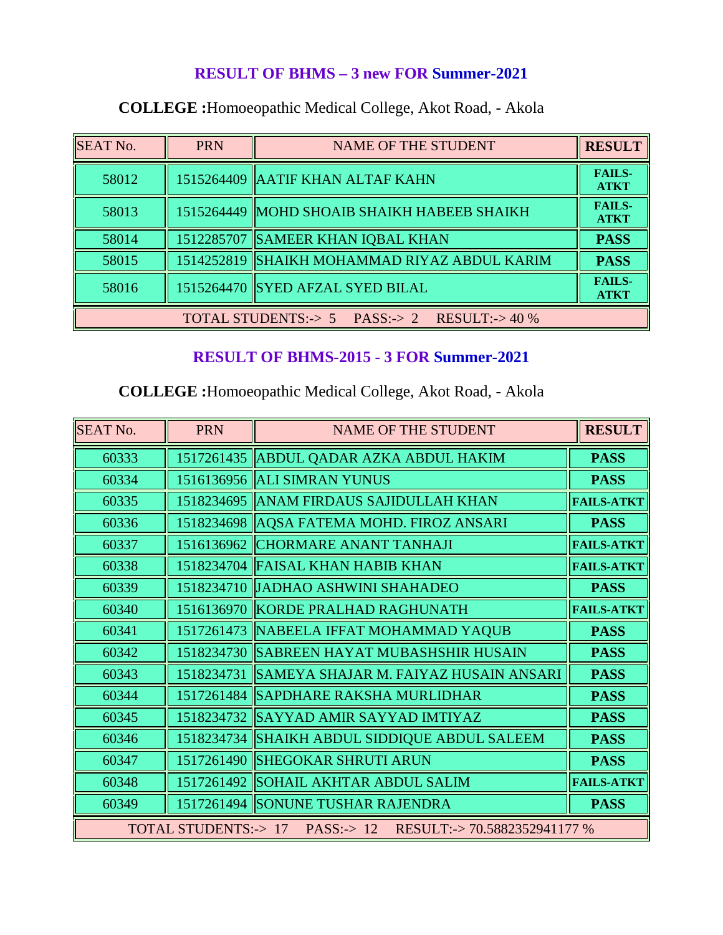#### **RESULT OF BHMS – 3 new FOR Summer-2021**

| <b>SEAT No.</b> | <b>PRN</b>                                         | <b>NAME OF THE STUDENT</b>                    | <b>RESULT</b>                |  |
|-----------------|----------------------------------------------------|-----------------------------------------------|------------------------------|--|
| 58012           |                                                    | 1515264409 AATIF KHAN ALTAF KAHN              | <b>FAILS-</b><br><b>ATKT</b> |  |
| 58013           |                                                    | 1515264449   MOHD SHOAIB SHAIKH HABEEB SHAIKH | <b>FAILS-</b><br><b>ATKT</b> |  |
| 58014           |                                                    | 1512285707 SAMEER KHAN IQBAL KHAN             | <b>PASS</b>                  |  |
| 58015           |                                                    | 1514252819  SHAIKH MOHAMMAD RIYAZ ABDUL KARIM | <b>PASS</b>                  |  |
| 58016           |                                                    | 1515264470 SYED AFZAL SYED BILAL              | <b>FAILS-</b><br><b>ATKT</b> |  |
|                 | TOTAL STUDENTS: $> 5$ PASS: $> 2$ RESULT: $> 40\%$ |                                               |                              |  |

## **COLLEGE :**Homoeopathic Medical College, Akot Road, - Akola

### **RESULT OF BHMS-2015 - 3 FOR Summer-2021**

| <b>SEAT No.</b>                                                    | <b>PRN</b> | <b>NAME OF THE STUDENT</b>                 | <b>RESULT</b>     |
|--------------------------------------------------------------------|------------|--------------------------------------------|-------------------|
| 60333                                                              |            | 1517261435 ABDUL QADAR AZKA ABDUL HAKIM    | <b>PASS</b>       |
| 60334                                                              |            | 1516136956 ALI SIMRAN YUNUS                | <b>PASS</b>       |
| 60335                                                              |            | 1518234695   ANAM FIRDAUS SAJIDULLAH KHAN  | <b>FAILS-ATKT</b> |
| 60336                                                              |            | 1518234698 AQSA FATEMA MOHD. FIROZ ANSARI  | <b>PASS</b>       |
| 60337                                                              | 1516136962 | <b>CHORMARE ANANT TANHAJI</b>              | <b>FAILS-ATKT</b> |
| 60338                                                              | 1518234704 | <b>FAISAL KHAN HABIB KHAN</b>              | <b>FAILS-ATKT</b> |
| 60339                                                              | 1518234710 | <b>JADHAO ASHWINI SHAHADEO</b>             | <b>PASS</b>       |
| 60340                                                              | 1516136970 | KORDE PRALHAD RAGHUNATH                    | <b>FAILS-ATKT</b> |
| 60341                                                              |            | 1517261473 NABEELA IFFAT MOHAMMAD YAQUB    | <b>PASS</b>       |
| 60342                                                              |            | 1518234730 SABREEN HAYAT MUBASHSHIR HUSAIN | <b>PASS</b>       |
| 60343                                                              | 1518234731 | SAMEYA SHAJAR M. FAIYAZ HUSAIN ANSARI      | <b>PASS</b>       |
| 60344                                                              |            | 1517261484 SAPDHARE RAKSHA MURLIDHAR       | <b>PASS</b>       |
| 60345                                                              |            | 1518234732 SAYYAD AMIR SAYYAD IMTIYAZ      | <b>PASS</b>       |
| 60346                                                              | 1518234734 | SHAIKH ABDUL SIDDIQUE ABDUL SALEEM         | <b>PASS</b>       |
| 60347                                                              | 1517261490 | <b>SHEGOKAR SHRUTI ARUN</b>                | <b>PASS</b>       |
| 60348                                                              | 1517261492 | <b>SOHAIL AKHTAR ABDUL SALIM</b>           | <b>FAILS-ATKT</b> |
| 60349                                                              |            | 1517261494 SONUNE TUSHAR RAJENDRA          | <b>PASS</b>       |
| TOTAL STUDENTS: $> 17$ PASS: $> 12$<br>RESULT:->70.5882352941177 % |            |                                            |                   |